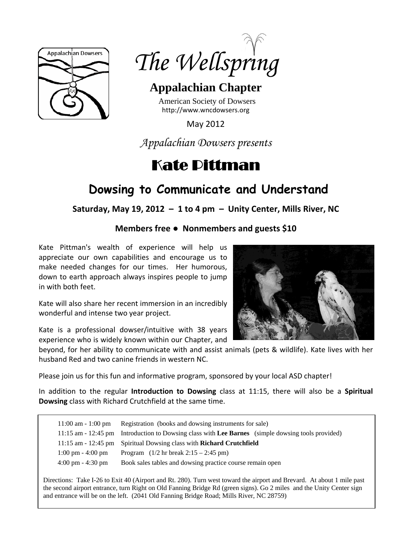



# **Appalachian Chapter**

American Society of Dowsers http://www.wncdowsers.org

May 2012

*Appalachian Dowsers presents* 

# Kate Pittman

# **Dowsing to Communicate and Understand**

**Saturday, May 19, 2012 – 1 to 4 pm – Unity Center, Mills River, NC**

# **Members free ● Nonmembers and guests \$10**

Kate Pittman's wealth of experience will help us appreciate our own capabilities and encourage us to make needed changes for our times. Her humorous, down to earth approach always inspires people to jump in with both feet.

Kate will also share her recent immersion in an incredibly wonderful and intense two year project.

Kate is a professional dowser/intuitive with 38 years experience who is widely known within our Chapter, and



beyond, for her ability to communicate with and assist animals (pets & wildlife). Kate lives with her husband Red and two canine friends in western NC.

Please join us for this fun and informative program, sponsored by your local ASD chapter!

In addition to the regular **Introduction to Dowsing** class at 11:15, there will also be a **Spiritual Dowsing** class with Richard Crutchfield at the same time.

|                                     | 11:00 am - 1:00 pm Registration (books and dowsing instruments for sale)                          |
|-------------------------------------|---------------------------------------------------------------------------------------------------|
|                                     | 11:15 am - 12:45 pm Introduction to Dowsing class with Lee Barnes (simple dowsing tools provided) |
|                                     | 11:15 am - 12:45 pm Spiritual Dowsing class with Richard Crutchfield                              |
| $1:00 \text{ pm} - 4:00 \text{ pm}$ | Program $(1/2 \text{ hr} \text{ break } 2:15 - 2:45 \text{ pm})$                                  |
| $4:00 \text{ pm} - 4:30 \text{ pm}$ | Book sales tables and dowsing practice course remain open                                         |

Directions: Take I-26 to Exit 40 (Airport and Rt. 280). Turn west toward the airport and Brevard. At about 1 mile past the second airport entrance, turn Right on Old Fanning Bridge Rd (green signs). Go 2 miles and the Unity Center sign and entrance will be on the left. (2041 Old Fanning Bridge Road; Mills River, NC 28759)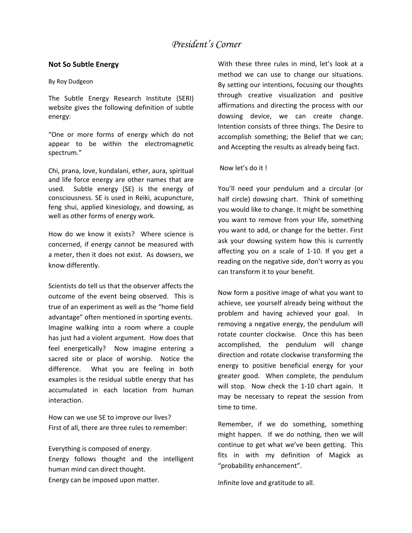### **Not So Subtle Energy**

#### By Roy Dudgeon

The Subtle Energy Research Institute (SERI) website gives the following definition of subtle energy:

"One or more forms of energy which do not appear to be within the electromagnetic spectrum."

Chi, prana, love, kundalani, ether, aura, spiritual and life force energy are other names that are used. Subtle energy (SE) is the energy of consciousness. SE is used in Reiki, acupuncture, feng shui, applied kinesiology, and dowsing, as well as other forms of energy work.

How do we know it exists? Where science is concerned, if energy cannot be measured with a meter, then it does not exist. As dowsers, we know differently.

Scientists do tell us that the observer affects the outcome of the event being observed. This is true of an experiment as well as the "home field advantage" often mentioned in sporting events. Imagine walking into a room where a couple has just had a violent argument. How does that feel energetically? Now imagine entering a sacred site or place of worship. Notice the difference. What you are feeling in both examples is the residual subtle energy that has accumulated in each location from human interaction.

How can we use SE to improve our lives? First of all, there are three rules to remember:

Everything is composed of energy. Energy follows thought and the intelligent human mind can direct thought. Energy can be imposed upon matter.

With these three rules in mind, let's look at a method we can use to change our situations. By setting our intentions, focusing our thoughts through creative visualization and positive affirmations and directing the process with our dowsing device, we can create change. Intention consists of three things. The Desire to accomplish something; the Belief that we can; and Accepting the results as already being fact.

### Now let's do it !

You'll need your pendulum and a circular (or half circle) dowsing chart. Think of something you would like to change. It might be something you want to remove from your life, something you want to add, or change for the better. First ask your dowsing system how this is currently affecting you on a scale of 1‐10. If you get a reading on the negative side, don't worry as you can transform it to your benefit.

Now form a positive image of what you want to achieve, see yourself already being without the problem and having achieved your goal. In removing a negative energy, the pendulum will rotate counter clockwise. Once this has been accomplished, the pendulum will change direction and rotate clockwise transforming the energy to positive beneficial energy for your greater good. When complete, the pendulum will stop. Now check the 1-10 chart again. It may be necessary to repeat the session from time to time.

Remember, if we do something, something might happen. If we do nothing, then we will continue to get what we've been getting. This fits in with my definition of Magick as "probability enhancement".

Infinite love and gratitude to all.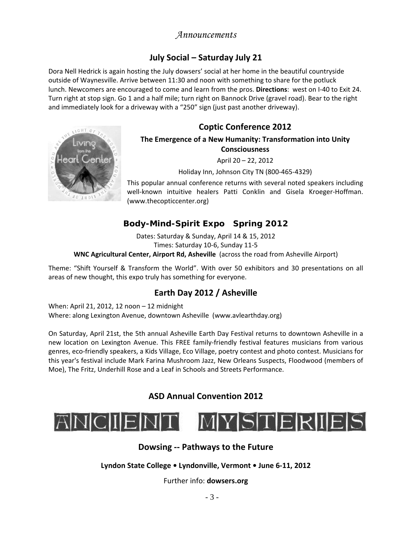# *Announcements*

# **July Social – Saturday July 21**

Dora Nell Hedrick is again hosting the July dowsers' social at her home in the beautiful countryside outside of Waynesville. Arrive between 11:30 and noon with something to share for the potluck lunch. Newcomers are encouraged to come and learn from the pros. **Directions**: west on I‐40 to Exit 24. Turn right at stop sign. Go 1 and a half mile; turn right on Bannock Drive (gravel road). Bear to the right and immediately look for a driveway with a "250" sign (just past another driveway).

# **Coptic Conference 2012**



# **The Emergence of a New Humanity: Transformation into Unity Consciousness**

April 20 – 22, 2012

Holiday Inn, Johnson City TN (800‐465‐4329)

This popular annual conference returns with several noted speakers including well-known intuitive healers Patti Conklin and Gisela Kroeger-Hoffman. (www.thecopticcenter.org)

# **Body-Mind-Spirit Expo Spring 2012**

Dates: Saturday & Sunday, April 14 & 15, 2012 Times: Saturday 10‐6, Sunday 11‐5 **WNC Agricultural Center, Airport Rd, Asheville** (across the road from Asheville Airport)

Theme: "Shift Yourself & Transform the World". With over 50 exhibitors and 30 presentations on all areas of new thought, this expo truly has something for everyone.

# **Earth Day 2012 / Asheville**

When: April 21, 2012, 12 noon – 12 midnight Where: along Lexington Avenue, downtown Asheville (www.avlearthday.org)

On Saturday, April 21st, the 5th annual Asheville Earth Day Festival returns to downtown Asheville in a new location on Lexington Avenue. This FREE family‐friendly festival features musicians from various genres, eco-friendly speakers, a Kids Village, Eco Village, poetry contest and photo contest. Musicians for this year's festival include Mark Farina Mushroom Jazz, New Orleans Suspects, Floodwood (members of Moe), The Fritz, Underhill Rose and a Leaf in Schools and Streets Performance.

# **ASD Annual Convention 2012**



## **Dowsing ‐‐ Pathways to the Future**

**Lyndon State College • Lyndonville, Vermont • June 6‐11, 2012**

Further info: **dowsers.org**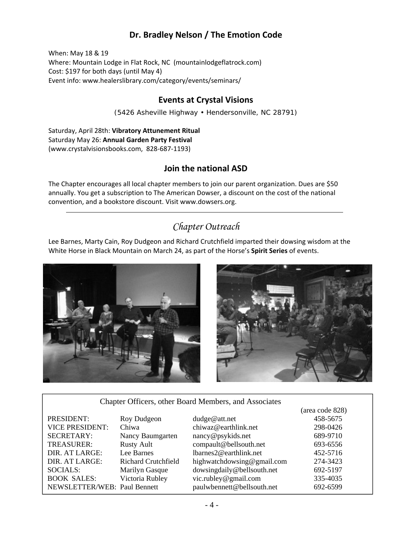# **Dr. Bradley Nelson / The Emotion Code**

When: May 18 & 19 Where: Mountain Lodge in Flat Rock, NC (mountainlodgeflatrock.com) Cost: \$197 for both days (until May 4) Event info: www.healerslibrary.com/category/events/seminars/

### **Events at Crystal Visions**

(5426 Asheville Highway • Hendersonville, NC 28791)

Saturday, April 28th: **Vibratory Attunement Ritual** Saturday May 26: **Annual Garden Party Festival** (www.crystalvisionsbooks.com, 828‐687‐1193)

# **Join the national ASD**

The Chapter encourages all local chapter members to join our parent organization. Dues are \$50 annually. You get a subscription to The American Dowser, a discount on the cost of the national convention, and a bookstore discount. Visit www.dowsers.org.

# *Chapter Outreach*

Lee Barnes, Marty Cain, Roy Dudgeon and Richard Crutchfield imparted their dowsing wisdom at the White Horse in Black Mountain on March 24, as part of the Horse's **Spirit Series** of events.





### Chapter Officers, other Board Members, and Associates

|                              |                            |                            | (area code 828) |
|------------------------------|----------------------------|----------------------------|-----------------|
| PRESIDENT:                   | Roy Dudgeon                | dudge@att.net              | 458-5675        |
| <b>VICE PRESIDENT:</b>       | Chiwa                      | chiwaz@earthlink.net       | 298-0426        |
| <b>SECRETARY:</b>            | Nancy Baumgarten           | nancy@psykids.net          | 689-9710        |
| TREASURER:                   | <b>Rusty Ault</b>          | compault@bellsouth.net     | 693-6556        |
| DIR. AT LARGE:               | Lee Barnes                 | lbarnes2@earthlink.net     | 452-5716        |
| DIR. AT LARGE:               | <b>Richard Crutchfield</b> | highwatchdowsing@gmail.com | 274-3423        |
| <b>SOCIALS:</b>              | Marilyn Gasque             | dowsingdaily@bellsouth.net | 692-5197        |
| <b>BOOK SALES:</b>           | Victoria Rubley            | vic.rubley@gmail.com       | 335-4035        |
| NEWSLETTER/WEB: Paul Bennett |                            | paulwbennett@bellsouth.net | 692-6599        |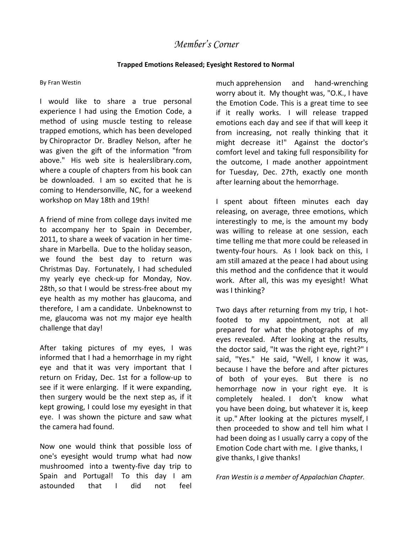# *Member's Corner*

### **Trapped Emotions Released; Eyesight Restored to Normal**

#### By Fran Westin

I would like to share a true personal experience I had using the Emotion Code, a method of using muscle testing to release trapped emotions, which has been developed by Chiropractor Dr. Bradley Nelson, after he was given the gift of the information "from above." His web site is healerslibrary.com, where a couple of chapters from his book can be downloaded. I am so excited that he is coming to Hendersonville, NC, for a weekend workshop on May 18th and 19th!

A friend of mine from college days invited me to accompany her to Spain in December, 2011, to share a week of vacation in her time‐ share in Marbella. Due to the holiday season, we found the best day to return was Christmas Day. Fortunately, I had scheduled my yearly eye check‐up for Monday, Nov. 28th, so that I would be stress-free about my eye health as my mother has glaucoma, and therefore, I am a candidate. Unbeknownst to me, glaucoma was not my major eye health challenge that day!

After taking pictures of my eyes, I was informed that I had a hemorrhage in my right eye and that it was very important that I return on Friday, Dec. 1st for a follow‐up to see if it were enlarging. If it were expanding, then surgery would be the next step as, if it kept growing, I could lose my eyesight in that eye. I was shown the picture and saw what the camera had found.

Now one would think that possible loss of one's eyesight would trump what had now mushroomed into a twenty‐five day trip to Spain and Portugal! To this day I am astounded that I did not feel

much apprehension and hand‐wrenching worry about it. My thought was, "O.K., I have the Emotion Code. This is a great time to see if it really works. I will release trapped emotions each day and see if that will keep it from increasing, not really thinking that it might decrease it!" Against the doctor's comfort level and taking full responsibility for the outcome, I made another appointment for Tuesday, Dec. 27th, exactly one month after learning about the hemorrhage.

I spent about fifteen minutes each day releasing, on average, three emotions, which interestingly to me, is the amount my body was willing to release at one session, each time telling me that more could be released in twenty-four hours. As I look back on this, I am still amazed at the peace I had about using this method and the confidence that it would work. After all, this was my eyesight! What was I thinking?

Two days after returning from my trip, I hot‐ footed to my appointment, not at all prepared for what the photographs of my eyes revealed. After looking at the results, the doctor said, "It was the right eye, right?" I said, "Yes." He said, "Well, I know it was, because I have the before and after pictures of both of your eyes. But there is no hemorrhage now in your right eye. It is completely healed. I don't know what you have been doing, but whatever it is, keep it up." After looking at the pictures myself, I then proceeded to show and tell him what I had been doing as I usually carry a copy of the Emotion Code chart with me. I give thanks, I give thanks, I give thanks!

*Fran Westin is a member of Appalachian Chapter.*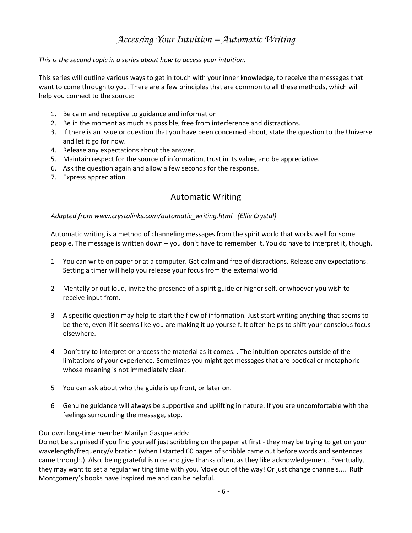# *Accessing Your Intuition – Automatic Writing*

### *This is the second topic in a series about how to access your intuition.*

This series will outline various ways to get in touch with your inner knowledge, to receive the messages that want to come through to you. There are a few principles that are common to all these methods, which will help you connect to the source:

- 1. Be calm and receptive to guidance and information
- 2. Be in the moment as much as possible, free from interference and distractions.
- 3. If there is an issue or question that you have been concerned about, state the question to the Universe and let it go for now.
- 4. Release any expectations about the answer.
- 5. Maintain respect for the source of information, trust in its value, and be appreciative.
- 6. Ask the question again and allow a few seconds for the response.
- 7. Express appreciation.

## Automatic Writing

### *Adapted from www.crystalinks.com/automatic\_writing.html (Ellie Crystal)*

Automatic writing is a method of channeling messages from the spirit world that works well for some people. The message is written down – you don't have to remember it. You do have to interpret it, though.

- 1 You can write on paper or at a computer. Get calm and free of distractions. Release any expectations. Setting a timer will help you release your focus from the external world.
- 2 Mentally or out loud, invite the presence of a spirit guide or higher self, or whoever you wish to receive input from.
- 3 A specific question may help to start the flow of information. Just start writing anything that seems to be there, even if it seems like you are making it up yourself. It often helps to shift your conscious focus elsewhere.
- 4 Don't try to interpret or process the material as it comes. . The intuition operates outside of the limitations of your experience. Sometimes you might get messages that are poetical or metaphoric whose meaning is not immediately clear.
- 5 You can ask about who the guide is up front, or later on.
- 6 Genuine guidance will always be supportive and uplifting in nature. If you are uncomfortable with the feelings surrounding the message, stop.

### Our own long-time member Marilyn Gasque adds:

Do not be surprised if you find yourself just scribbling on the paper at first - they may be trying to get on your wavelength/frequency/vibration (when I started 60 pages of scribble came out before words and sentences came through.) Also, being grateful is nice and give thanks often, as they like acknowledgement. Eventually, they may want to set a regular writing time with you. Move out of the way! Or just change channels.... Ruth Montgomery's books have inspired me and can be helpful.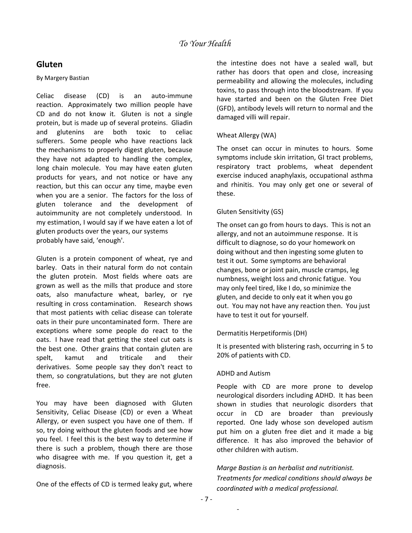### **Gluten**

### By Margery Bastian

Celiac disease (CD) is an auto‐immune reaction. Approximately two million people have CD and do not know it. Gluten is not a single protein, but is made up of several proteins. Gliadin and glutenins are both toxic to celiac sufferers. Some people who have reactions lack the mechanisms to properly digest gluten, because they have not adapted to handling the complex, long chain molecule. You may have eaten gluten products for years, and not notice or have any reaction, but this can occur any time, maybe even when you are a senior. The factors for the loss of gluten tolerance and the development of autoimmunity are not completely understood. In my estimation, I would say if we have eaten a lot of gluten products over the years, our systems probably have said, 'enough'.

Gluten is a protein component of wheat, rye and barley. Oats in their natural form do not contain the gluten protein. Most fields where oats are grown as well as the mills that produce and store oats, also manufacture wheat, barley, or rye resulting in cross contamination. Research shows that most patients with celiac disease can tolerate oats in their pure uncontaminated form. There are exceptions where some people do react to the oats. I have read that getting the steel cut oats is the best one. Other grains that contain gluten are spelt, kamut and triticale and their derivatives. Some people say they don't react to them, so congratulations, but they are not gluten free.

You may have been diagnosed with Gluten Sensitivity, Celiac Disease (CD) or even a Wheat Allergy, or even suspect you have one of them. If so, try doing without the gluten foods and see how you feel. I feel this is the best way to determine if there is such a problem, though there are those who disagree with me. If you question it, get a diagnosis.

One of the effects of CD is termed leaky gut, where

the intestine does not have a sealed wall, but rather has doors that open and close, increasing permeability and allowing the molecules, including toxins, to pass through into the bloodstream. If you have started and been on the Gluten Free Diet (GFD), antibody levels will return to normal and the damaged villi will repair.

### Wheat Allergy (WA)

The onset can occur in minutes to hours. Some symptoms include skin irritation, GI tract problems, respiratory tract problems, wheat dependent exercise induced anaphylaxis, occupational asthma and rhinitis. You may only get one or several of these.

### Gluten Sensitivity (GS)

The onset can go from hours to days. This is not an allergy, and not an autoimmune response. It is difficult to diagnose, so do your homework on doing without and then ingesting some gluten to test it out. Some symptoms are behavioral changes, bone or joint pain, muscle cramps, leg numbness, weight loss and chronic fatigue. You may only feel tired, like I do, so minimize the gluten, and decide to only eat it when you go out. You may not have any reaction then. You just have to test it out for yourself.

### Dermatitis Herpetiformis (DH)

It is presented with blistering rash, occurring in 5 to 20% of patients with CD.

### ADHD and Autism

People with CD are more prone to develop neurological disorders including ADHD. It has been shown in studies that neurologic disorders that occur in CD are broader than previously reported. One lady whose son developed autism put him on a gluten free diet and it made a big difference. It has also improved the behavior of other children with autism.

*Marge Bastian is an herbalist and nutritionist. Treatments for medical conditions should always be coordinated with a medical professional.*

 $\overline{\phantom{a}}$